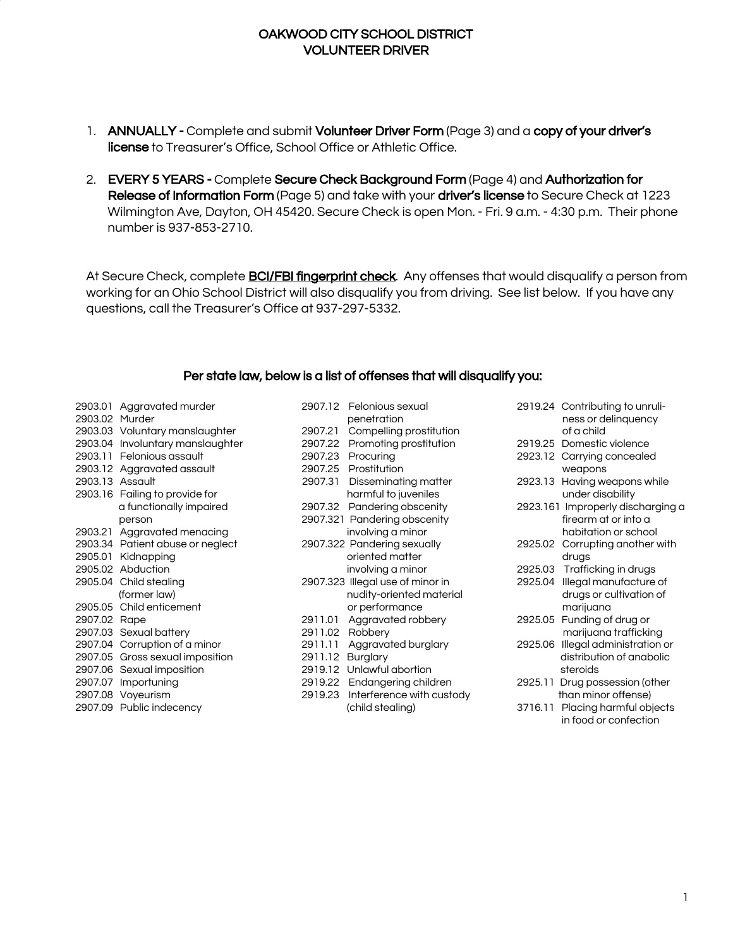## OAKWOOD CITY SCHOOL DISTRICT VOLUNTEER DRIVER

- 1. ANNUALLY Complete and submit Volunteer Driver Form (Page 3) and a copy of your driver's license to Treasurer's Office, School Office or Athletic Office.
- 2. EVERY 5 YEARS Complete Secure Check Background Form (Page 4) and Authorization for Release of Information Form (Page 5) and take with your driver's license to Secure Check at 1223 Wilmington Ave, Dayton, OH 45420. Secure Check is open Mon. - Fri. 9 a.m. - 4:30 p.m. Their phone number is 937-853-2710.

At Secure Check, complete **BCI/FBI fingerprint check**. Any offenses that would disqualify a person from working for an Ohio School District will also disqualify you from driving. See list below. If you have any questions, call the Treasurer's Office at 937-297-5332.

## Per state law, below is a list of offenses that will disqualify you:

| 2903.01 | Aggravated murder        |
|---------|--------------------------|
| 2903.02 | Murder                   |
| 2903.03 | Voluntary manslaughter   |
| 2903.04 | Involuntary manslaughter |
| 2903.11 | Felonious assault        |
| 2903.12 | Aggravated assault       |
| 2903.13 | Assault                  |
| 2903.16 | Failing to provide for   |
|         | a functionally impaired  |
|         | person                   |
| 2903.21 | Aggravated menacing      |
| 2903.34 | Patient abuse or neglect |
| 2905.01 | Kidnapping               |
| 2905.02 | Abduction                |
| 2905.04 | Child stealing           |
|         | (former law)             |
| 2905.05 | Child enticement         |
| 2907.02 | Rape                     |
| 2907.03 | Sexual battery           |
| 2907.04 | Corruption of a minor    |
| 2907.05 | Gross sexual imposition  |
| 2907.06 | Sexual imposition        |
| 2907.07 | Importuning              |
| 2907.08 | Voyeurism                |
| 2907.09 | Public indecency         |

| 2903.02 Murder  | 2903.01 Aggravated murder        | 2907.12 | Felonious sexual                 |         | 2919.24 Contributing to unruli-   |
|-----------------|----------------------------------|---------|----------------------------------|---------|-----------------------------------|
|                 |                                  |         | penetration                      |         | ness or delinquency               |
|                 | 2903.03 Voluntary manslaughter   | 2907.21 | Compelling prostitution          |         | of a child                        |
|                 | 2903.04 Involuntary manslaughter |         | 2907.22 Promoting prostitution   |         | 2919.25 Domestic violence         |
|                 | 2903.11 Felonious assault        | 2907.23 | Procuring                        |         | 2923.12 Carrying concealed        |
|                 | 2903.12 Aggravated assault       | 2907.25 | Prostitution                     |         | weapons                           |
| 2903.13 Assault |                                  | 2907.31 | Disseminating matter             |         | 2923.13 Having weapons while      |
|                 | 2903.16 Failing to provide for   |         | harmful to juveniles             |         | under disability                  |
|                 | a functionally impaired          |         | 2907.32 Pandering obscenity      |         | 2923.161 Improperly discharging a |
|                 | person                           |         | 2907.321 Pandering obscenity     |         | firearm at or into a              |
|                 | 2903.21 Aggravated menacing      |         | involving a minor                |         | habitation or school              |
|                 | 2903.34 Patient abuse or neglect |         | 2907.322 Pandering sexually      |         | 2925.02 Corrupting another with   |
|                 | 2905.01 Kidnapping               |         | oriented matter                  |         | drugs                             |
|                 | 2905.02 Abduction                |         | involving a minor                | 2925.03 | Trafficking in drugs              |
|                 | 2905.04 Child stealing           |         | 2907.323 Illegal use of minor in | 2925.04 | Illegal manufacture of            |
|                 | (former law)                     |         | nudity-oriented material         |         | drugs or cultivation of           |
|                 | 2905.05 Child enticement         |         | or performance                   |         | marijuana                         |
| 2907.02 Rape    |                                  | 2911.01 | Aggravated robbery               | 2925.05 | Funding of drug or                |
|                 | 2907.03 Sexual battery           | 2911.02 | Robbery                          |         | marijuana trafficking             |
|                 | 2907.04 Corruption of a minor    | 2911.11 | Aggravated burglary              | 2925.06 | Illegal administration or         |
|                 | 2907.05 Gross sexual imposition  | 2911.12 | Burglary                         |         | distribution of anabolic          |
|                 | 2907.06 Sexual imposition        |         | 2919.12 Unlawful abortion        |         | steroids                          |
|                 | 2907.07 Importuning              | 2919.22 | Endangering children             |         | 2925.11 Drug possession (other    |
|                 | 2907.08 Voyeurism                | 2919.23 | Interference with custody        |         | than minor offense)               |
|                 | 2907.09 Public indecency         |         | (child stealing)                 |         | 3716.11 Placing harmful objects   |
|                 |                                  |         |                                  |         |                                   |

| 2919.24  | Contributing to unruli-<br>ness or delinquency |
|----------|------------------------------------------------|
|          | of a child                                     |
| 2919.25  | Domestic violence                              |
| 2923.12  | Carrying concealed                             |
|          | weapons                                        |
| 2923.13  | Having weapons while                           |
|          | under disability                               |
| 2923.161 | Improperly discharging                         |
|          | firearm at or into a                           |
|          | habitation or school                           |
| 2925.02  | Corrupting another with                        |
|          | drugs                                          |
| 2925.03  | Trafficking in drugs                           |
| 2925.04  | Illegal manufacture of                         |
|          | drugs or cultivation of                        |
|          | marijuana                                      |
| 2925.05  | Funding of drug or                             |
|          | marijuana trafficking                          |
| 2925.06  | Illegal administration or                      |
|          | distribution of anabolic                       |
|          | steroids                                       |
| 2925.11  | Drug possession (other                         |
|          | than minor offense)                            |
| 3716.11  | Placing harmful objects                        |
|          | in food or confection                          |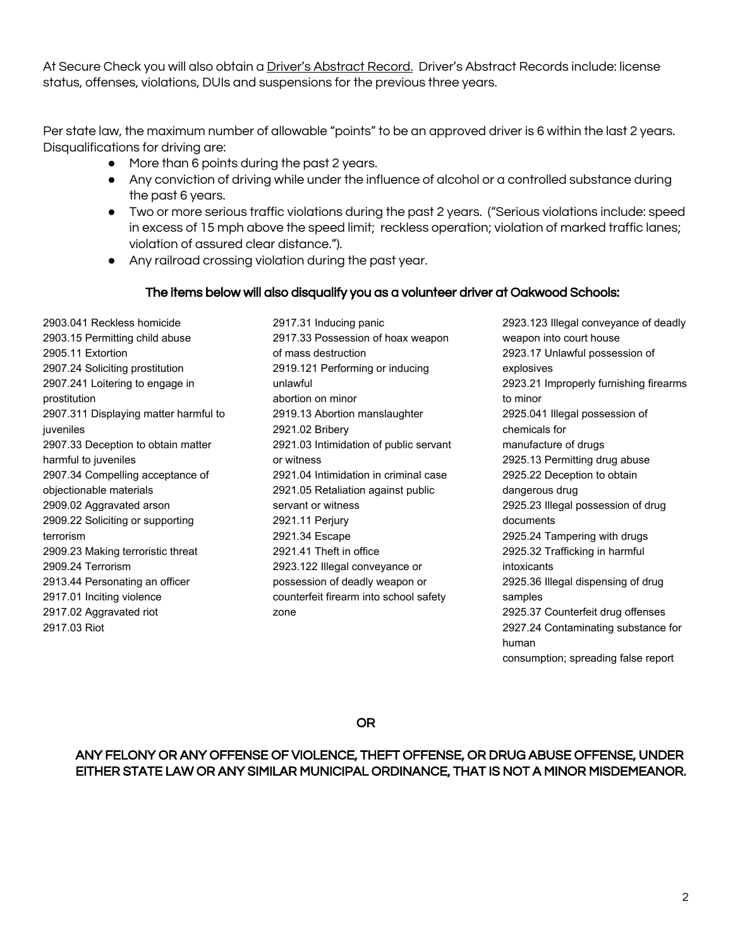At Secure Check you will also obtain a Driver's Abstract Record. Driver's Abstract Records include: license status, offenses, violations, DUIs and suspensions for the previous three years.

Per state law, the maximum number of allowable "points" to be an approved driver is 6 within the last 2 years. Disqualifications for driving are:

- More than 6 points during the past 2 years.
- Any conviction of driving while under the influence of alcohol or a controlled substance during the past 6 years.
- Two or more serious traffic violations during the past 2 years. ("Serious violations include: speed in excess of 15 mph above the speed limit; reckless operation; violation of marked traffic lanes; violation of assured clear distance.").
- Any railroad crossing violation during the past year.

## The items below will also disqualify you as a volunteer driver at Oakwood Schools:

2903.041 Reckless homicide 2903.15 Permitting child abuse 2905.11 Extortion 2907.24 Soliciting prostitution 2907.241 Loitering to engage in prostitution 2907.311 Displaying matter harmful to juveniles 2907.33 Deception to obtain matter harmful to juveniles 2907.34 Compelling acceptance of objectionable materials 2909.02 Aggravated arson 2909.22 Soliciting or supporting terrorism 2909.23 Making terroristic threat 2909.24 Terrorism 2913.44 Personating an officer 2917.01 Inciting violence 2917.02 Aggravated riot 2917.03 Riot

2917.31 Inducing panic 2917.33 Possession of hoax weapon of mass destruction 2919.121 Performing or inducing unlawful abortion on minor 2919.13 Abortion manslaughter 2921.02 Bribery 2921.03 Intimidation of public servant or witness 2921.04 Intimidation in criminal case 2921.05 Retaliation against public servant or witness 2921.11 Perjury 2921.34 Escape 2921.41 Theft in office 2923.122 Illegal conveyance or possession of deadly weapon or counterfeit firearm into school safety zone

2923.123 Illegal conveyance of deadly weapon into court house 2923.17 Unlawful possession of explosives 2923.21 Improperly furnishing firearms to minor 2925.041 Illegal possession of chemicals for manufacture of drugs 2925.13 Permitting drug abuse 2925.22 Deception to obtain dangerous drug 2925.23 Illegal possession of drug documents 2925.24 Tampering with drugs 2925.32 Trafficking in harmful intoxicants 2925.36 Illegal dispensing of drug samples 2925.37 Counterfeit drug offenses 2927.24 Contaminating substance for human consumption; spreading false report

OR

#### ANY FELONY OR ANY OFFENSE OF VIOLENCE, THEFT OFFENSE, OR DRUG ABUSE OFFENSE, UNDER EITHER STATE LAW OR ANY SIMILAR MUNICIPAL ORDINANCE, THAT IS NOT A MINOR MISDEMEANOR.